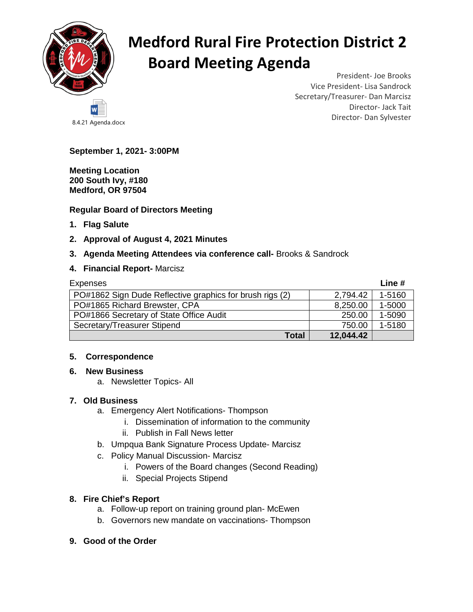

# **Medford Rural Fire Protection District 2 Board Meeting Agenda**

President- Joe Brooks Vice President- Lisa Sandrock Secretary/Treasurer- Dan Marcisz Director- Jack Tait and the Director- Dan Sylvester 8.4.21 Agenda.docx

**September 1, 2021- 3:00PM** 

**Meeting Location 200 South Ivy, #180 Medford, OR 97504** 

## **Regular Board of Directors Meeting**

- **1. Flag Salute**
- **2. Approval of August 4, 2021 Minutes**

### **3. Agenda Meeting Attendees via conference call-** Brooks & Sandrock

**4. Financial Report-** Marcisz

| Expenses                                                 |           | Line $#$ |
|----------------------------------------------------------|-----------|----------|
| PO#1862 Sign Dude Reflective graphics for brush rigs (2) | 2.794.42  | 1-5160   |
| PO#1865 Richard Brewster, CPA                            | 8,250.00  | 1-5000   |
| PO#1866 Secretary of State Office Audit                  | 250.00    | 1-5090   |
| Secretary/Treasurer Stipend                              | 750.00    | 1-5180   |
| <b>Total</b>                                             | 12,044.42 |          |

## **5. Correspondence**

#### **6. New Business**

a. Newsletter Topics- All

## **7. Old Business**

- a. Emergency Alert Notifications- Thompson
	- i. Dissemination of information to the community
	- ii. Publish in Fall News letter
- b. Umpqua Bank Signature Process Update- Marcisz
- c. Policy Manual Discussion- Marcisz
	- i. Powers of the Board changes (Second Reading)
	- ii. Special Projects Stipend

## **8. Fire Chief's Report**

- a. Follow-up report on training ground plan- McEwen
- b. Governors new mandate on vaccinations- Thompson
- **9. Good of the Order**